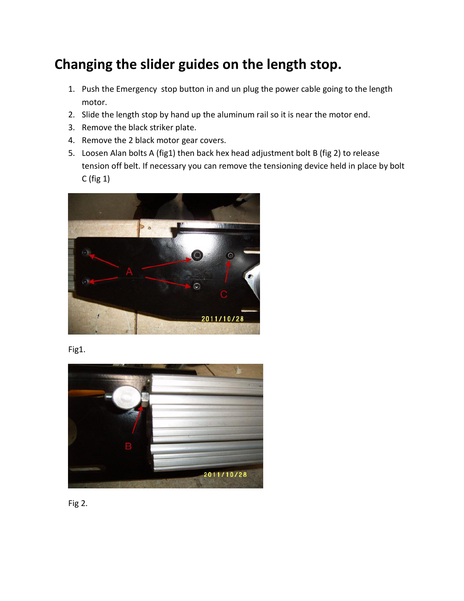## **Changing the slider guides on the length stop.**

- 1. Push the Emergency stop button in and un plug the power cable going to the length motor.
- 2. Slide the length stop by hand up the aluminum rail so it is near the motor end.
- 3. Remove the black striker plate.
- 4. Remove the 2 black motor gear covers.
- 5. Loosen Alan bolts A (fig1) then back hex head adjustment bolt B (fig 2) to release tension off belt. If necessary you can remove the tensioning device held in place by bolt C (fig 1)



Fig1.



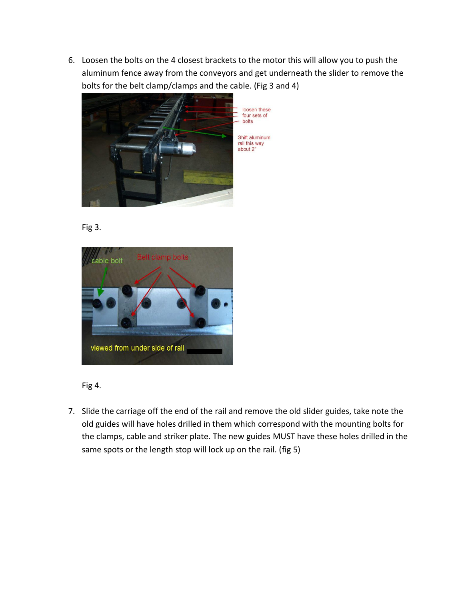6. Loosen the bolts on the 4 closest brackets to the motor this will allow you to push the aluminum fence away from the conveyors and get underneath the slider to remove the bolts for the belt clamp/clamps and the cable. (Fig 3 and 4)



Fig 3.



Fig 4.

7. Slide the carriage off the end of the rail and remove the old slider guides, take note the old guides will have holes drilled in them which correspond with the mounting bolts for the clamps, cable and striker plate. The new guides MUST have these holes drilled in the same spots or the length stop will lock up on the rail. (fig 5)